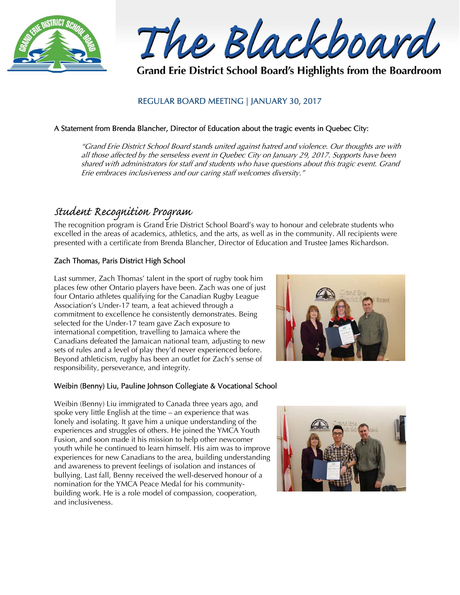

The Blackboard

Grand Erie District School Board's Highlights from the Boardroom

## REGULAR BOARD MEETING | JANUARY 30, 2017

### A Statement from Brenda Blancher, Director of Education about the tragic events in Quebec City:

"Grand Erie District School Board stands united against hatred and violence. Our thoughts are with all those affected by the senseless event in Quebec City on January 29, 2017. Supports have been shared with administrators for staff and students who have questions about this tragic event. Grand Erie embraces inclusiveness and our caring staff welcomes diversity."

# Student Recognition Program

The recognition program is Grand Erie District School Board's way to honour and celebrate students who excelled in the areas of academics, athletics, and the arts, as well as in the community. All recipients were presented with a certificate from Brenda Blancher, Director of Education and Trustee James Richardson.

## Zach Thomas, Paris District High School

Last summer, Zach Thomas' talent in the sport of rugby took him places few other Ontario players have been. Zach was one of just four Ontario athletes qualifying for the Canadian Rugby League Association's Under-17 team, a feat achieved through a commitment to excellence he consistently demonstrates. Being selected for the Under-17 team gave Zach exposure to international competition, travelling to Jamaica where the Canadians defeated the Jamaican national team, adjusting to new sets of rules and a level of play they'd never experienced before. Beyond athleticism, rugby has been an outlet for Zach's sense of responsibility, perseverance, and integrity.



## Weibin (Benny) Liu, Pauline Johnson Collegiate & Vocational School

Weibin (Benny) Liu immigrated to Canada three years ago, and spoke very little English at the time – an experience that was lonely and isolating. It gave him a unique understanding of the experiences and struggles of others. He joined the YMCA Youth Fusion, and soon made it his mission to help other newcomer youth while he continued to learn himself. His aim was to improve experiences for new Canadians to the area, building understanding and awareness to prevent feelings of isolation and instances of bullying. Last fall, Benny received the well-deserved honour of a nomination for the YMCA Peace Medal for his communitybuilding work. He is a role model of compassion, cooperation, and inclusiveness.

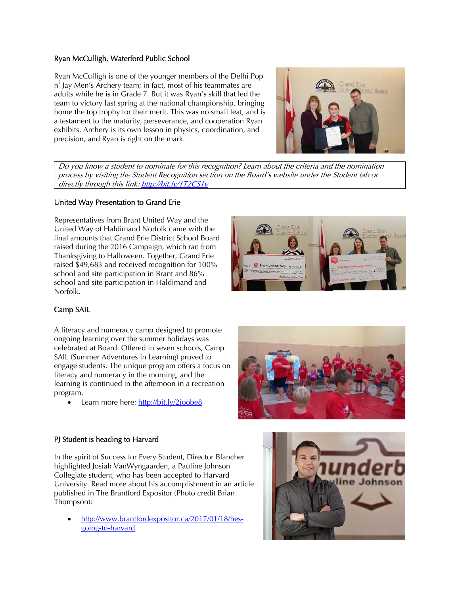### Ryan McCulligh, Waterford Public School

Ryan McCulligh is one of the younger members of the Delhi Pop n' Jay Men's Archery team; in fact, most of his teammates are adults while he is in Grade 7. But it was Ryan's skill that led the team to victory last spring at the national championship, bringing home the top trophy for their merit. This was no small feat, and is a testament to the maturity, perseverance, and cooperation Ryan exhibits. Archery is its own lesson in physics, coordination, and precision, and Ryan is right on the mark.



Do you know a student to nominate for this recognition? Learn about the criteria and the nomination process by visiting the Student Recognition section on the Board's website under the Student tab or directly through this link: http://bit.ly/1T2CS1v

#### United Way Presentation to Grand Erie

Representatives from Brant United Way and the United Way of Haldimand Norfolk came with the final amounts that Grand Erie District School Board raised during the 2016 Campaign, which ran from Thanksgiving to Halloween. Together, Grand Erie raised \$49,683 and received recognition for 100% school and site participation in Brant and 86% school and site participation in Haldimand and Norfolk.



## Camp SAIL

A literacy and numeracy camp designed to promote ongoing learning over the summer holidays was celebrated at Board. Offered in seven schools, Camp SAIL (Summer Adventures in Learning) proved to engage students. The unique program offers a focus on literacy and numeracy in the morning, and the learning is continued in the afternoon in a recreation program.

Learn more here: http://bit.ly/2joobe8

#### PJ Student is heading to Harvard

In the spirit of Success for Every Student, Director Blancher highlighted Josiah VanWyngaarden, a Pauline Johnson Collegiate student, who has been accepted to Harvard University. Read more about his accomplishment in an article published in The Brantford Expositor (Photo credit Brian Thompson):

 http://www.brantfordexpositor.ca/2017/01/18/hesgoing-to-harvard